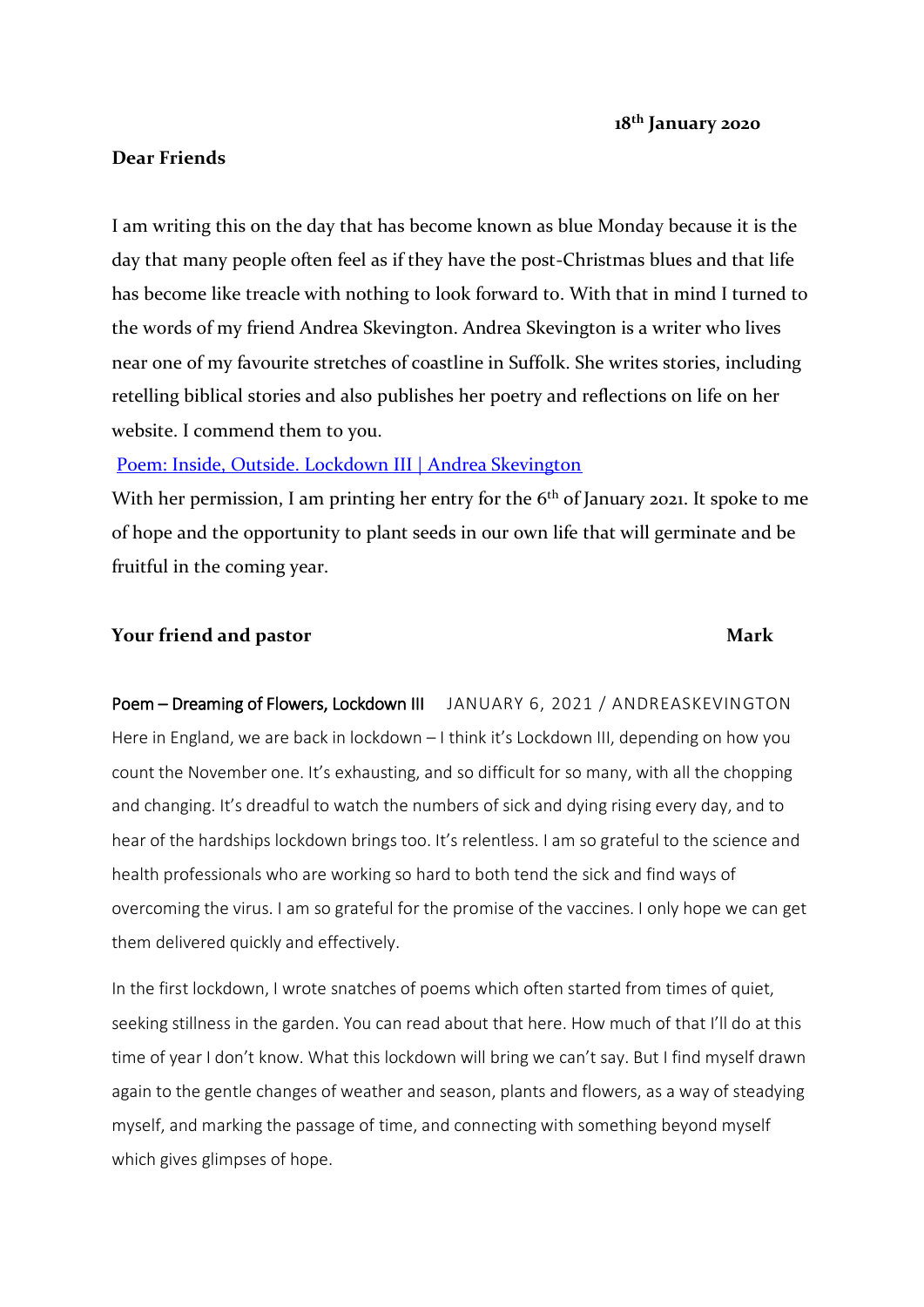## **Dear Friends**

I am writing this on the day that has become known as blue Monday because it is the day that many people often feel as if they have the post-Christmas blues and that life has become like treacle with nothing to look forward to. With that in mind I turned to the words of my friend Andrea Skevington. Andrea Skevington is a writer who lives near one of my favourite stretches of coastline in Suffolk. She writes stories, including retelling biblical stories and also publishes her poetry and reflections on life on her website. I commend them to you.

# [Poem: Inside, Outside. Lockdown III | Andrea Skevington](https://andreaskevington.com/2021/01/13/poem-inside-outside-lockdown-iii/)

With her permission, I am printing her entry for the  $6<sup>th</sup>$  of January 2021. It spoke to me of hope and the opportunity to plant seeds in our own life that will germinate and be fruitful in the coming year.

### **Your friend and pastor Mark**

Poem - Dreaming of Flowers, Lockdown III [JANUARY](https://andreaskevington.com/2021/01/06/poem-dreaming-of-flowers-lockdown-iii/) 6, 2021 / ANDREASKEVINGTON Here in England, we are back in lockdown - I think it's Lockdown III, depending on how you count the November one. It's exhausting, and so difficult for so many, with all the chopping and changing. It's dreadful to watch the numbers of sick and dying rising every day, and to hear of the hardships lockdown brings too. It's relentless. I am so grateful to the science and health professionals who are working so hard to both tend the sick and find ways of overcoming the virus. I am so grateful for the promise of the vaccines. I only hope we can get them delivered quickly and effectively.

In the first lockdown, I wrote snatches of poems which often started from times of quiet, seeking stillness in the garden. You can read about that here. How much of that I'll do at this time of year I don't know. What this lockdown will bring we can't say. But I find myself drawn again to the gentle changes of weather and season, plants and flowers, as a way of steadying myself, and marking the passage of time, and connecting with something beyond myself which gives glimpses of hope.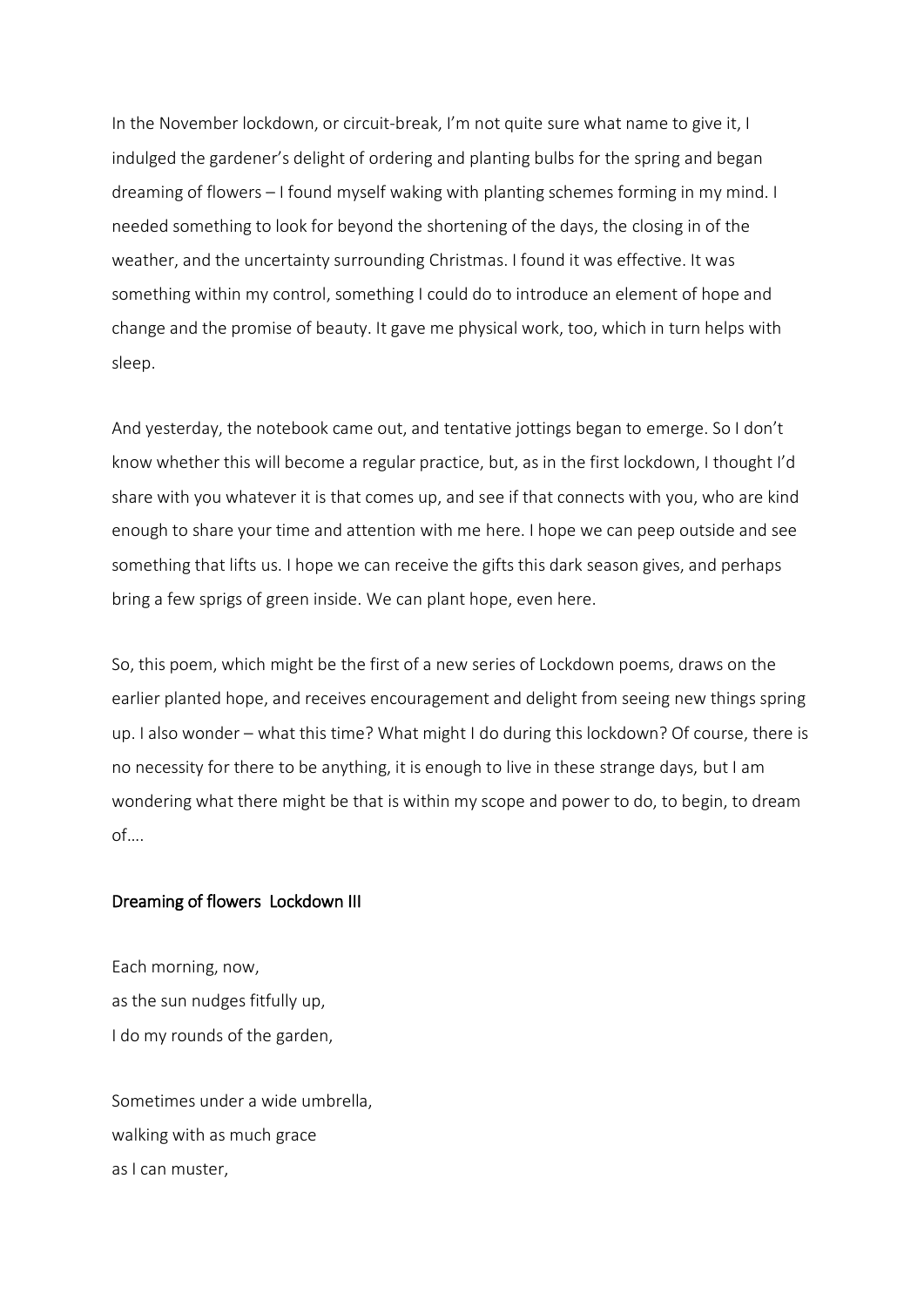In the November lockdown, or circuit-break, I'm not quite sure what name to give it, I indulged the gardener's delight of ordering and planting bulbs for the spring and began dreaming of flowers – I found myself waking with planting schemes forming in my mind. I needed something to look for beyond the shortening of the days, the closing in of the weather, and the uncertainty surrounding Christmas. I found it was effective. It was something within my control, something I could do to introduce an element of hope and change and the promise of beauty. It gave me physical work, too, which in turn helps with sleep.

And yesterday, the notebook came out, and tentative jottings began to emerge. So I don't know whether this will become a regular practice, but, as in the first lockdown, I thought I'd share with you whatever it is that comes up, and see if that connects with you, who are kind enough to share your time and attention with me here. I hope we can peep outside and see something that lifts us. I hope we can receive the gifts this dark season gives, and perhaps bring a few sprigs of green inside. We can plant [hope,](https://andreaskevington.com/2020/10/14/plant-hope-planthope/) even here.

So, this poem, which might be the first of a new series of Lockdown poems, draws on the earlier planted hope, and receives encouragement and delight from seeing new things spring up. I also wonder – what this time? What might I do during this lockdown? Of course, there is no necessity for there to be anything, it is enough to live in these strange days, but I am wondering what there might be that is within my scope and power to do, to begin, to dream of….

#### Dreaming of flowers Lockdown III

Each morning, now, as the sun nudges fitfully up, I do my rounds of the garden,

Sometimes under a wide umbrella, walking with as much grace as I can muster,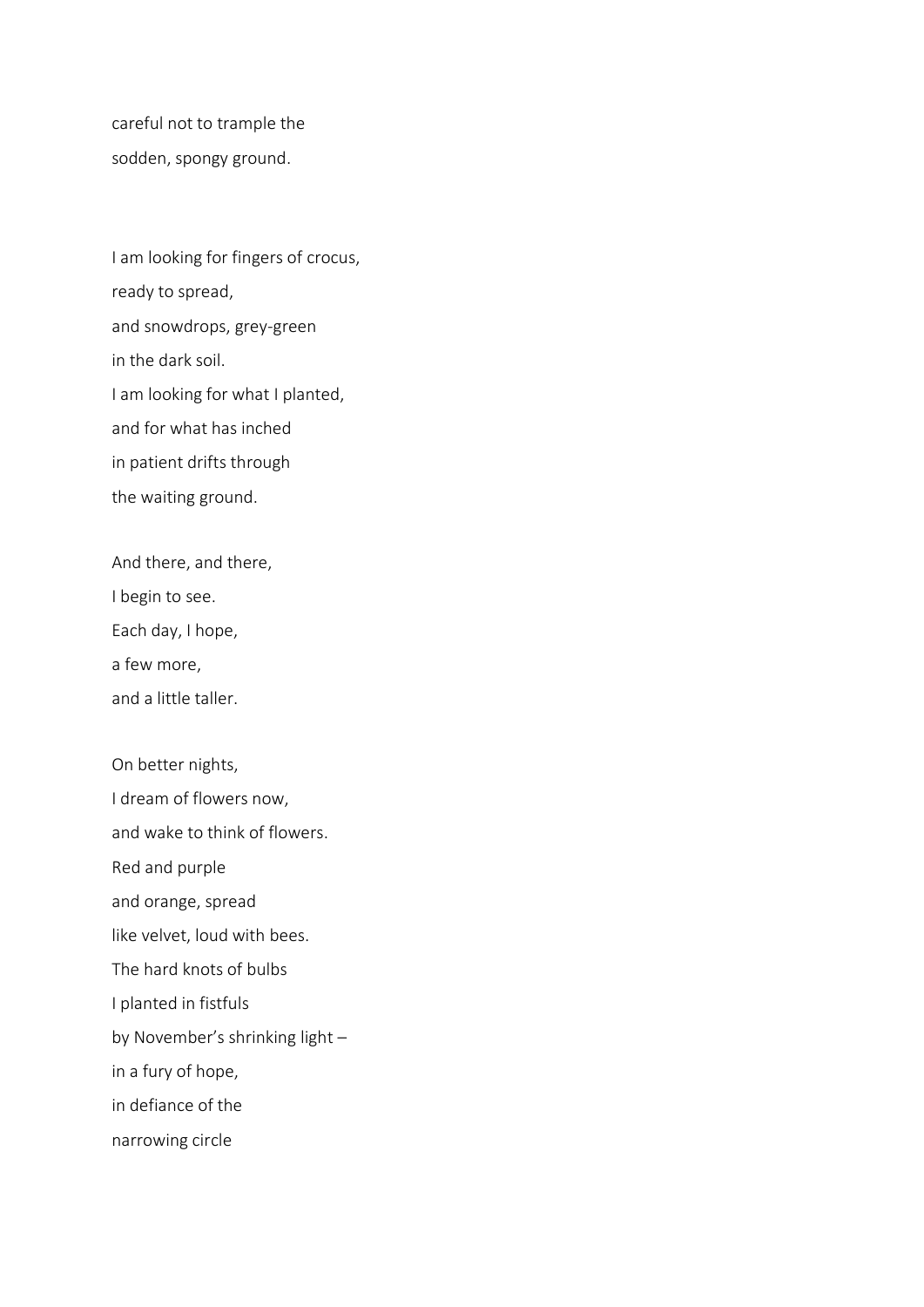careful not to trample the sodden, spongy ground.

I am looking for fingers of crocus, ready to spread, and snowdrops, grey-green in the dark soil. I am looking for what I planted, and for what has inched in patient drifts through the waiting ground.

And there, and there,

I begin to see.

Each day, I hope,

a few more,

and a little taller.

On better nights, I dream of flowers now, and wake to think of flowers. Red and purple and orange, spread like velvet, loud with bees. The hard knots of bulbs I planted in fistfuls by November's shrinking light – in a fury of hope, in defiance of the narrowing circle